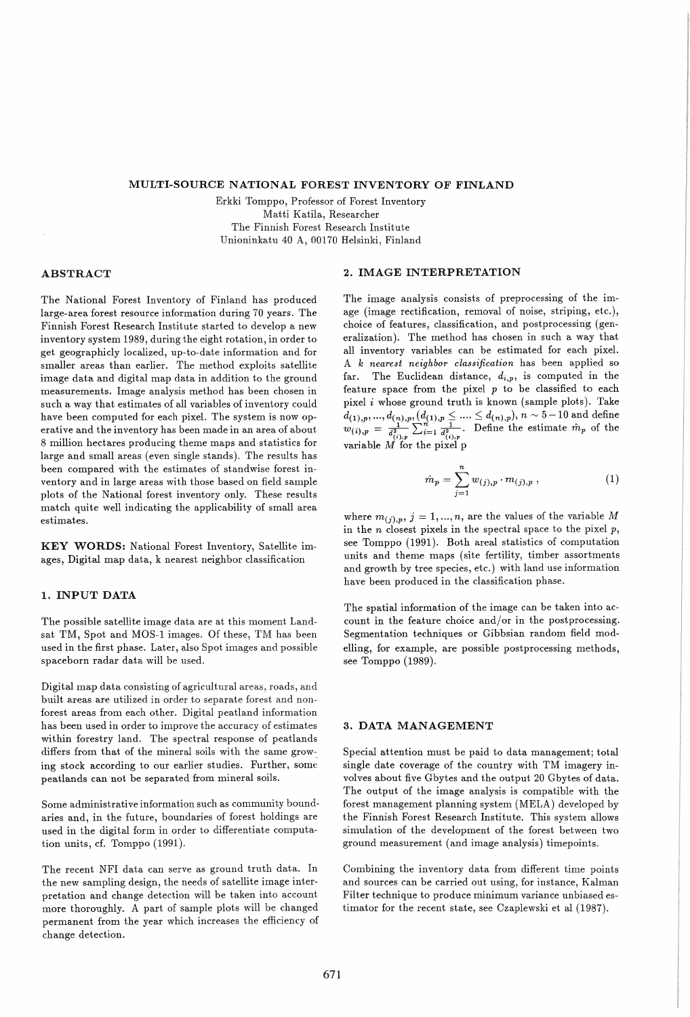#### MULTI-SOURCE NATIONAL FOREST INVENTORY OF FINLAND

Erkki Tomppo, Professor of Forest Inventory Matti Katila, Researcher The Finnish Forest Research Institute Unioninkatu 40 A, 00170 Helsinki, Finland

# ABSTRACT

The National Forest Inventory of Finland has produced large-area forest resource information during 70 years. The Finnish Forest Research Institute started to develop a new inventory system 1989, during the eight rotation, in order to get geographicly localized, up-to-date information and for smaller areas than earlier. The method exploits satellite image data and digital map data in addition to the ground measurements. Image analysis method has been chosen in such a way that estimates of all variables of inventory could have been computed for each pixel. The system is now operative and the inventory has been made in an area of about 8 million hectares producing theme maps and statistics for large and small areas (even single stands). The results has been compared with the estimates of standwise forest inventory and in large areas with those based on field sample plots of the National forest inventory only. These results match quite well indicating the applicability of small area estimates.

KEY WORDS: National Forest Inventory, Satellite images, Digital map data, k nearest neighbor classification

## 1. INPUT DATA

The possible satellite image data are at this moment Landsat TM, Spot and MOS-1 images. Of these, TM has been used in the first phase. Later, also Spot images and possible spaceborn radar data will be used.

Digital map data consisting of agricultural areas, roads, and built areas are utilized in order to separate forest and nonforest areas from each other. Digital peatland information has been used in order to improve the accuracy of estimates within forestry land. The spectral response of peatlands differs from that of the mineral soils with the same growing stock according to our earlier studies. Further, some peatlands can not be separated from mineral soils.

Some administrative information such as community boundaries and, in the future, boundaries of forest holdings are used in the digital form in order to differentiate computation units, cf. Tomppo (1991).

The recent NFl data can serve as ground truth data. In the new sampling design, the needs of satellite image interpretation and change detection will be taken into account more thoroughly. A part of sample plots will be changed permanent from the year which increases the efficiency of change detection.

### 2. IMAGE INTERPRETATION

The image analysis consists of preprocessing of the image (image rectification, removal of noise, striping, etc.), choice of features, classification, and postprocessing (generalization). The method has chosen in such a way that all inventory variables can be estimated for each pixel. A *k nearest neighbor classification* has been applied so far. The Euclidean distance,  $d_{i,p}$ , is computed in the feature space from the pixel  $p$  to be classified to each pixel  $i$  whose ground truth is known (sample plots). Take  $d_{(1),p},...,d_{(n),p}, (d_{(1),p}\leq....\leq d_{(n),p}),$   $n\sim 5-10$  and define  $w_{(i),p} = \frac{1}{d_{(i),p}^2} \sum_{i=1}^n \frac{1}{d_{(i),p}^2}$ . Define the estimate  $\hat{m}_p$  of the variable *M* for the pixel p

$$
\hat{m}_p = \sum_{j=1}^n w_{(j),p} \cdot m_{(j),p} \,, \tag{1}
$$

where  $m_{(j),p}$ ,  $j = 1,...,n$ , are the values of the variable M in the *n* closest pixels in the spectral space to the pixel p, see Tomppo (1991). Both areal statistics of computation units and theme maps (site fertility, timber assortments and growth by tree species, etc.) with land use information have been produced in the classification phase.

The spatial information of the image can be taken into account in the feature choice and/or in the postprocessing. Segmentation techniques or Gibbsian random field modelling, for example, are possible postprocessing methods, see Tomppo (1989).

### 3. DATA MANAGEMENT

Special attention must be paid to data management; total single date coverage of the country with TM imagery involves about five Gbytes and the output 20 Gbytes of data. The output of the image analysis is compatible with the forest management planning system (MELA) developed by the Finnish Forest Research Institute. This system allows simulation of the development of the forest between two ground measurement (and image analysis) timepoints.

Combining the inventory data from different time points and sources can be carried out using, for instance, Kalman Filter technique to produce minimum variance unbiased estimator for the recent state, see Czaplewski et al (1987).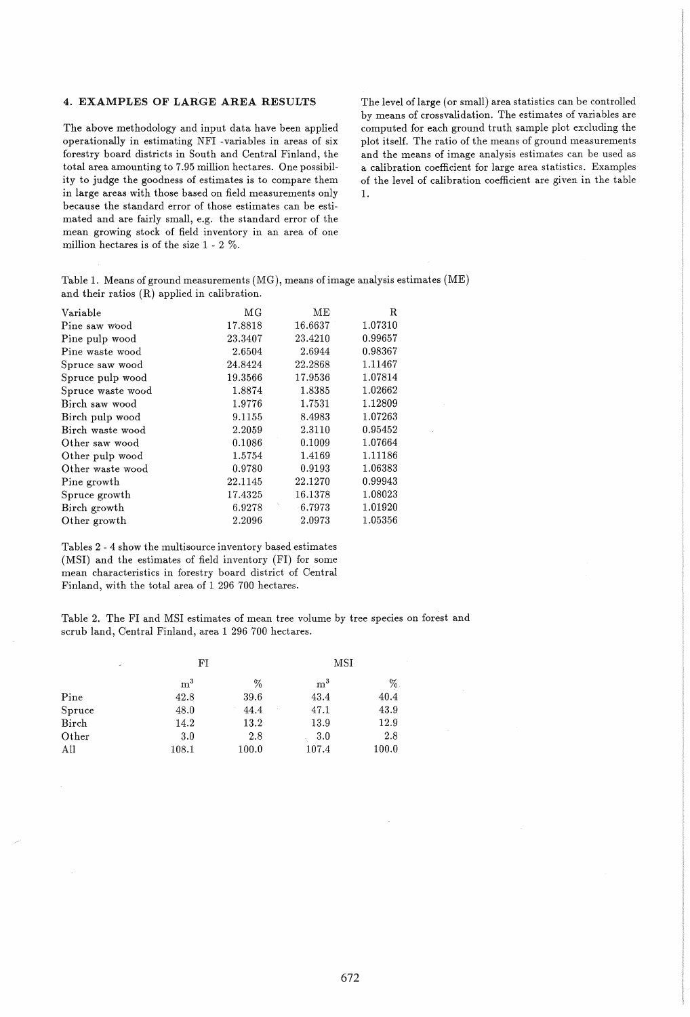## 4. EXAMPLES OF LARGE AREA RESULTS

The above methodology and input data have been applied operationally in estimating NFl -variables in areas of six forestry board districts in South and Central Finland, the total area amounting to 7.95 million hectares. One possibility to judge the goodness of estimates is to compare them in large areas with those based on field measurements only because the standard error of those estimates can be estimated and are fairly small, e.g. the standard error of the mean growing stock of field inventory in an area of one million hectares is of the size 1 - 2 %.

The level of large (or small) area statistics can be controlled by means of crossvalidation. The estimates of variables are computed for each ground truth sample plot excluding the plot itself. The ratio of the means of ground measurements and the means of image analysis estimates can be used as a calibration coefficient for large area statistics. Examples of the level of calibration coefficient are given in the table 1.

Table 1. Means of ground measurements (MG), means of image analysis estimates (ME) and their ratios (R) applied in calibration.

| Variable          | МG      | MЕ      | R.      |
|-------------------|---------|---------|---------|
| Pine saw wood     | 17.8818 | 16.6637 | 1.07310 |
| Pine pulp wood    | 23.3407 | 23.4210 | 0.99657 |
| Pine waste wood   | 2.6504  | 2.6944  | 0.98367 |
| Spruce saw wood   | 24.8424 | 22.2868 | 1.11467 |
| Spruce pulp wood  | 19.3566 | 17.9536 | 1.07814 |
| Spruce waste wood | 1.8874  | 1.8385  | 1.02662 |
| Birch saw wood    | 1.9776  | 1.7531  | 1.12809 |
| Birch pulp wood   | 9.1155  | 8.4983  | 1.07263 |
| Birch waste wood  | 2.2059  | 2.3110  | 0.95452 |
| Other saw wood    | 0.1086  | 0.1009  | 1.07664 |
| Other pulp wood   | 1.5754  | 1.4169  | 1.11186 |
| Other waste wood  | 0.9780  | 0.9193  | 1.06383 |
| Pine growth       | 22.1145 | 22.1270 | 0.99943 |
| Spruce growth     | 17.4325 | 16.1378 | 1.08023 |
| Birch growth      | 6.9278  | 6.7973  | 1.01920 |
| Other growth      | 2.2096  | 2.0973  | 1.05356 |
|                   |         |         |         |

Tables 2 - 4 show the multisource inventory based estimates (MSI) and the estimates of field inventory (FI) for some mean characteristics in forestry board district of Central Finland, with the total area of 1 296 700 hectares.

Table 2. The Fl and MSl estimates of mean tree volume by tree species on forest and scrub land, Central Finland, area 1 296 700 hectares.

| ×      | FI             |       | MSI            |       |
|--------|----------------|-------|----------------|-------|
|        | $\mathrm{m}^3$ | %     | $\mathrm{m}^3$ | $\%$  |
| Pine   | 42.8           | 39.6  | 43.4           | 40.4  |
| Spruce | 48.0           | 44.4  | 47.1           | 43.9  |
| Birch  | 14.2           | 13.2  | 13.9           | 12.9  |
| Other  | 3.0            | 2.8   | 3.0            | 2.8   |
| All    | 108.1          | 100.0 | 107.4          | 100.0 |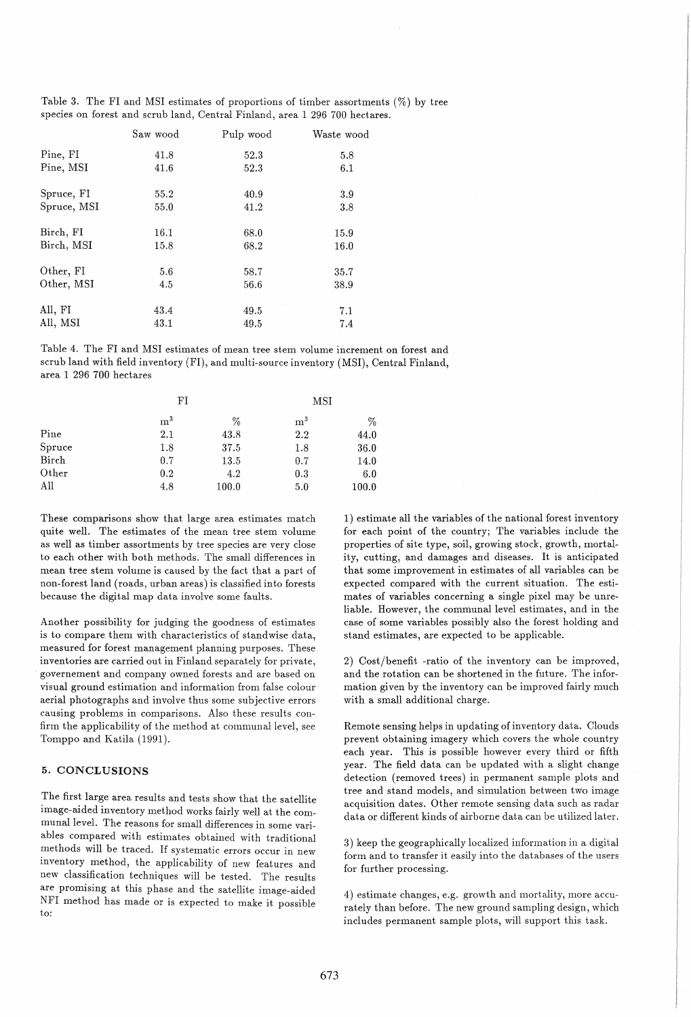Table 3. The FI and MSI estimates of proportions of timber assortments  $(\%)$  by tree species on forest and scrub land, Central Finland, area 1 296 700 hectares.

|             | Saw wood | Pulp wood | Waste wood |
|-------------|----------|-----------|------------|
| Pine, FI    | 41.8     | 52.3      | 5.8        |
| Pine, MSI   | 41.6     | 52.3      | 6.1        |
| Spruce, FI  | 55.2     | 40.9      | 3.9        |
| Spruce, MSI | 55.0     | 41.2      | 3.8        |
| Birch, FI   | 16.1     | 68.0      | 15.9       |
| Birch, MSI  | 15.8     | 68.2      | 16.0       |
| Other, FI   | 5.6      | 58.7      | 35.7       |
| Other, MSI  | 4.5      | 56.6      | 38.9       |
| All, FI     | 43.4     | 49.5      | 7.1        |
| All, MSI    | 43.1     | 49.5      | 7.4        |

Table 4. The Fl and MSl estimates of mean tree stem volume increment on forest and scrub land with field inventory (Fl), and multi-source inventory (MSl), Central Finland, area 1 296 700 hectares

|        | FI             |       | MSI            |       |
|--------|----------------|-------|----------------|-------|
|        | $\mathrm{m}^3$ | %     | $\mathrm{m}^3$ | %     |
| Pine   | 2.1            | 43.8  | 2.2            | 44.0  |
| Spruce | 1.8            | 37.5  | 1.8            | 36.0  |
| Birch  | 0.7            | 13.5  | 0.7            | 14.0  |
| Other  | 0.2            | 4.2   | 0.3            | 6.0   |
| All    | 4.8            | 100.0 | 5.0            | 100.0 |

These comparisons show that large area estimates match quite well. The estimates of the mean tree stem volume as well as timber assortments by tree species are very close to each other with both methods. The small differences in mean tree stem volume is caused by the fact that a part of non-forest land (roads, urban areas) is classified into forests because the digital map data involve some faults.

Another possibility for judging the goodness of estimates is to compare them with characteristics of standwise data, measured for forest management planning purposes. These inventories are carried out in Finland separately for private, governement. and company owned forests and are based on visual ground estimation and information from false colour aerial photographs and involve thus some subjective errors causing problems in comparisons. Also these results confirm the applicability of the method at communal level, see Tomppo and Katila (1991).

#### 5. CONCLUSIONS

The first large area results and tests show that the satellite image-aided inventory method works fairly well at the communal level. The reasons for small differences in some variables compared with estimates obtained with traditional methods will be traced. If systematic errors occur in new inventory method, the applicability of new features and new classification techniques will be tested. The results are promising at this phase and the satellite image-aided NFl method has made or is expected to make it possible to:

1) estimate all the variables of the national forest inventory for each point of the country; The variables include the properties of site type, soil, growing stock, growth, mortality, cutting, and damages and diseases. It is anticipated that some improvement in estimates of all variables can be expected compared with the current situation. The estimates of variables concerning a single pixel may be unreliable. However, the communal level estimates, and in the case of some variables possibly also the forest holding and stand estimates, are expected to be applicable.

2) Cost/benefit -ratio of the inventory can be improved, and the rotation can be shortened in the future. The information given by the inventory can be improved fairly much with a small additional charge.

Remote sensing helps in updating of inventory data. Clouds prevent obtaining imagery which covers the whole country each year. This is possible however every third or fifth year. The field data can be updated with a slight change detection (removed trees) in permanent sample plots and tree and stand models, and simulation between two image acquisition dates. Other remote sensing data such as radar data or different kinds of airborne data can be utilized later.

3) keep the geographically localized information in a digital form and to transfer it easily into the databases of the users for further processing.

4) estimate changes, e.g. growth and mortality, more accurately than before. The new ground sampling design, which includes permanent sample plots, will support this task.